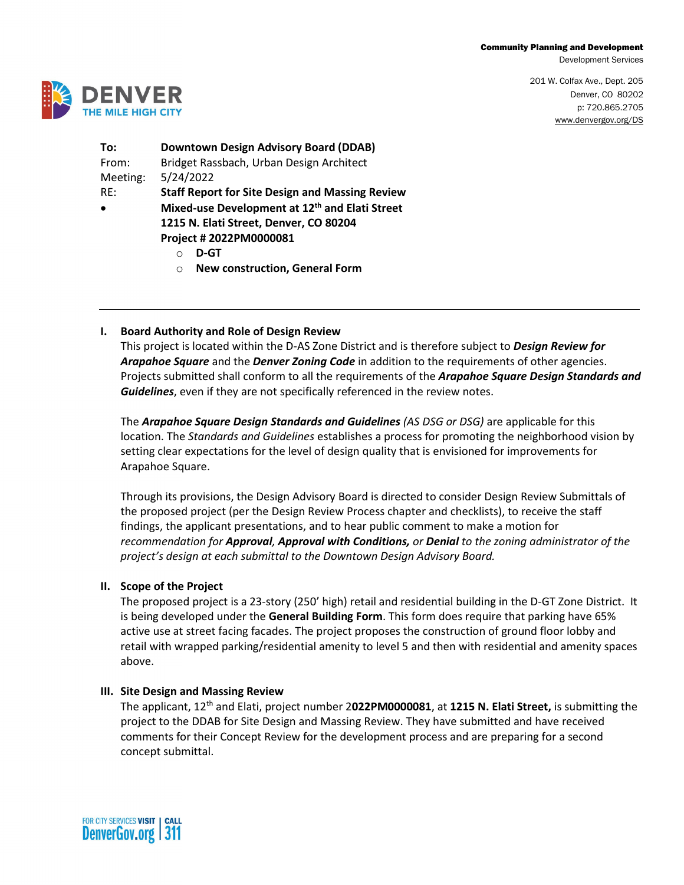#### Community Planning and Development

Development Services

201 W. Colfax Ave., Dept. 205 Denver, CO 80202 p: 720.865.2705 [www.denvergov.org/DS](http://www.denvergov.org/CPD) 



**To: Downtown Design Advisory Board (DDAB)** From: Bridget Rassbach, Urban Design Architect Meeting: 5/24/2022 RE: **Staff Report for Site Design and Massing Review**

- **Mixed-use Development at 12th and Elati Street 1215 N. Elati Street, Denver, CO 80204**
	- **Project # 2022PM0000081**
		- o **D-GT**
		- o **New construction, General Form**

# **I. Board Authority and Role of Design Review**

This project is located within the D-AS Zone District and is therefore subject to *Design Review for Arapahoe Square* and the *Denver Zoning Code* in addition to the requirements of other agencies. Projects submitted shall conform to all the requirements of the *Arapahoe Square Design Standards and Guidelines*, even if they are not specifically referenced in the review notes.

The *Arapahoe Square Design Standards and Guidelines (AS DSG or DSG)* are applicable for this location. The *Standards and Guidelines* establishes a process for promoting the neighborhood vision by setting clear expectations for the level of design quality that is envisioned for improvements for Arapahoe Square.

Through its provisions, the Design Advisory Board is directed to consider Design Review Submittals of the proposed project (per the Design Review Process chapter and checklists), to receive the staff findings, the applicant presentations, and to hear public comment to make a motion for *recommendation for Approval, Approval with Conditions, or Denial to the zoning administrator of the project's design at each submittal to the Downtown Design Advisory Board.*

## **II. Scope of the Project**

The proposed project is a 23-story (250' high) retail and residential building in the D-GT Zone District. It is being developed under the **General Building Form**. This form does require that parking have 65% active use at street facing facades. The project proposes the construction of ground floor lobby and retail with wrapped parking/residential amenity to level 5 and then with residential and amenity spaces above.

## **III. Site Design and Massing Review**

The applicant, 12th and Elati, project number 2**022PM0000081**, at **1215 N. Elati Street,** is submitting the project to the DDAB for Site Design and Massing Review. They have submitted and have received comments for their Concept Review for the development process and are preparing for a second concept submittal.

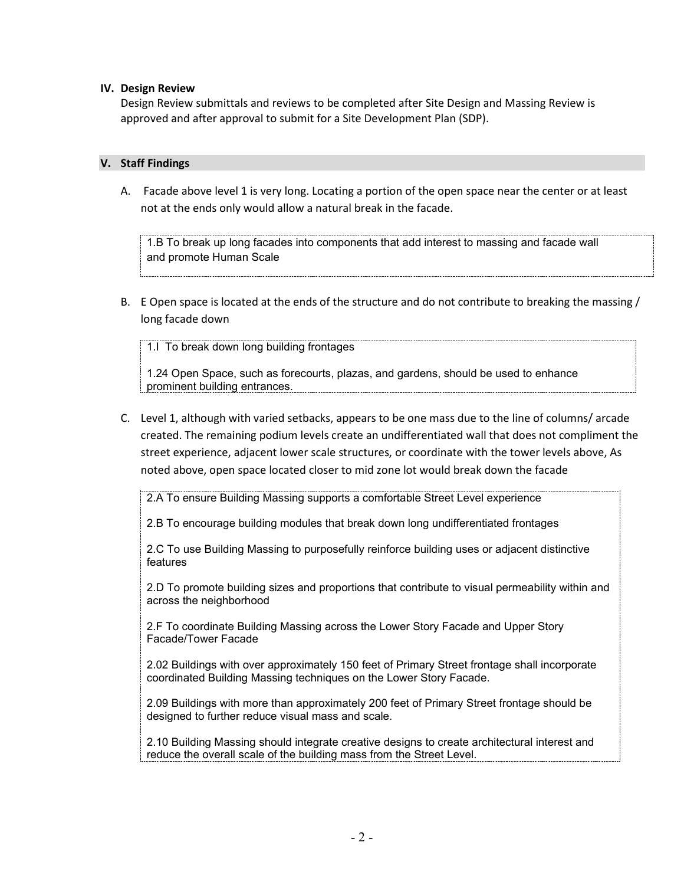## **IV. Design Review**

Design Review submittals and reviews to be completed after Site Design and Massing Review is approved and after approval to submit for a Site Development Plan (SDP).

## **V. Staff Findings**

A. Facade above level 1 is very long. Locating a portion of the open space near the center or at least not at the ends only would allow a natural break in the facade.

1.B To break up long facades into components that add interest to massing and facade wall and promote Human Scale

B. E Open space is located at the ends of the structure and do not contribute to breaking the massing / long facade down

1.I To break down long building frontages

1.24 Open Space, such as forecourts, plazas, and gardens, should be used to enhance prominent building entrances.

C. Level 1, although with varied setbacks, appears to be one mass due to the line of columns/ arcade created. The remaining podium levels create an undifferentiated wall that does not compliment the street experience, adjacent lower scale structures, or coordinate with the tower levels above, As noted above, open space located closer to mid zone lot would break down the facade

2.A To ensure Building Massing supports a comfortable Street Level experience

2.B To encourage building modules that break down long undifferentiated frontages

2.C To use Building Massing to purposefully reinforce building uses or adjacent distinctive features

2.D To promote building sizes and proportions that contribute to visual permeability within and across the neighborhood

2.F To coordinate Building Massing across the Lower Story Facade and Upper Story Facade/Tower Facade

2.02 Buildings with over approximately 150 feet of Primary Street frontage shall incorporate coordinated Building Massing techniques on the Lower Story Facade.

2.09 Buildings with more than approximately 200 feet of Primary Street frontage should be designed to further reduce visual mass and scale.

2.10 Building Massing should integrate creative designs to create architectural interest and reduce the overall scale of the building mass from the Street Level.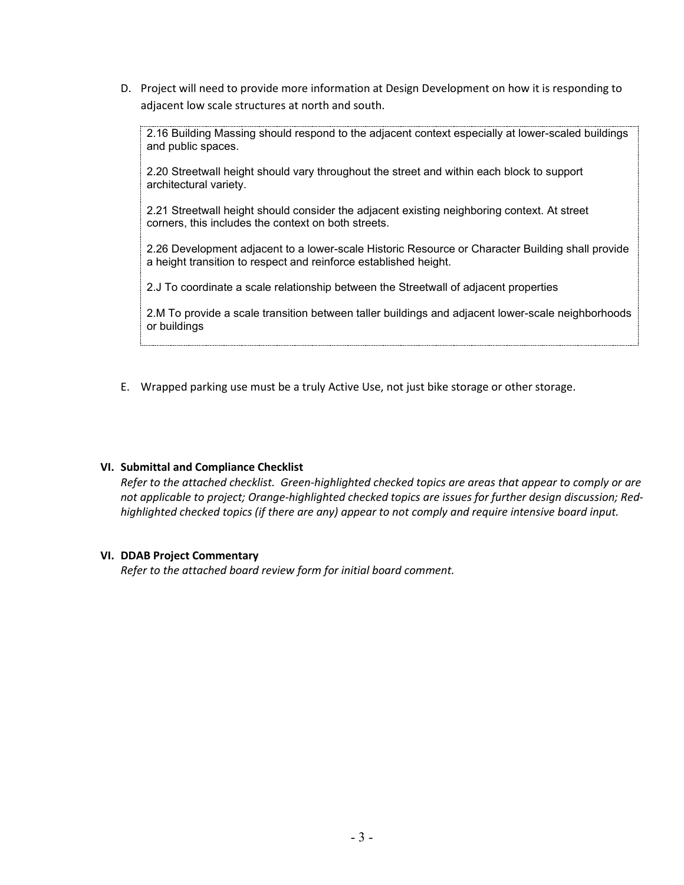D. Project will need to provide more information at Design Development on how it is responding to adjacent low scale structures at north and south.

2.16 Building Massing should respond to the adjacent context especially at lower-scaled buildings and public spaces.

2.20 Streetwall height should vary throughout the street and within each block to support architectural variety.

2.21 Streetwall height should consider the adjacent existing neighboring context. At street corners, this includes the context on both streets.

2.26 Development adjacent to a lower-scale Historic Resource or Character Building shall provide a height transition to respect and reinforce established height.

2.J To coordinate a scale relationship between the Streetwall of adjacent properties

2.M To provide a scale transition between taller buildings and adjacent lower-scale neighborhoods or buildings

E. Wrapped parking use must be a truly Active Use, not just bike storage or other storage.

## **VI. Submittal and Compliance Checklist**

*Refer to the attached checklist. Green-highlighted checked topics are areas that appear to comply or are not applicable to project; Orange-highlighted checked topics are issues for further design discussion; Redhighlighted checked topics (if there are any) appear to not comply and require intensive board input.*

#### **VI. DDAB Project Commentary**

*Refer to the attached board review form for initial board comment.*